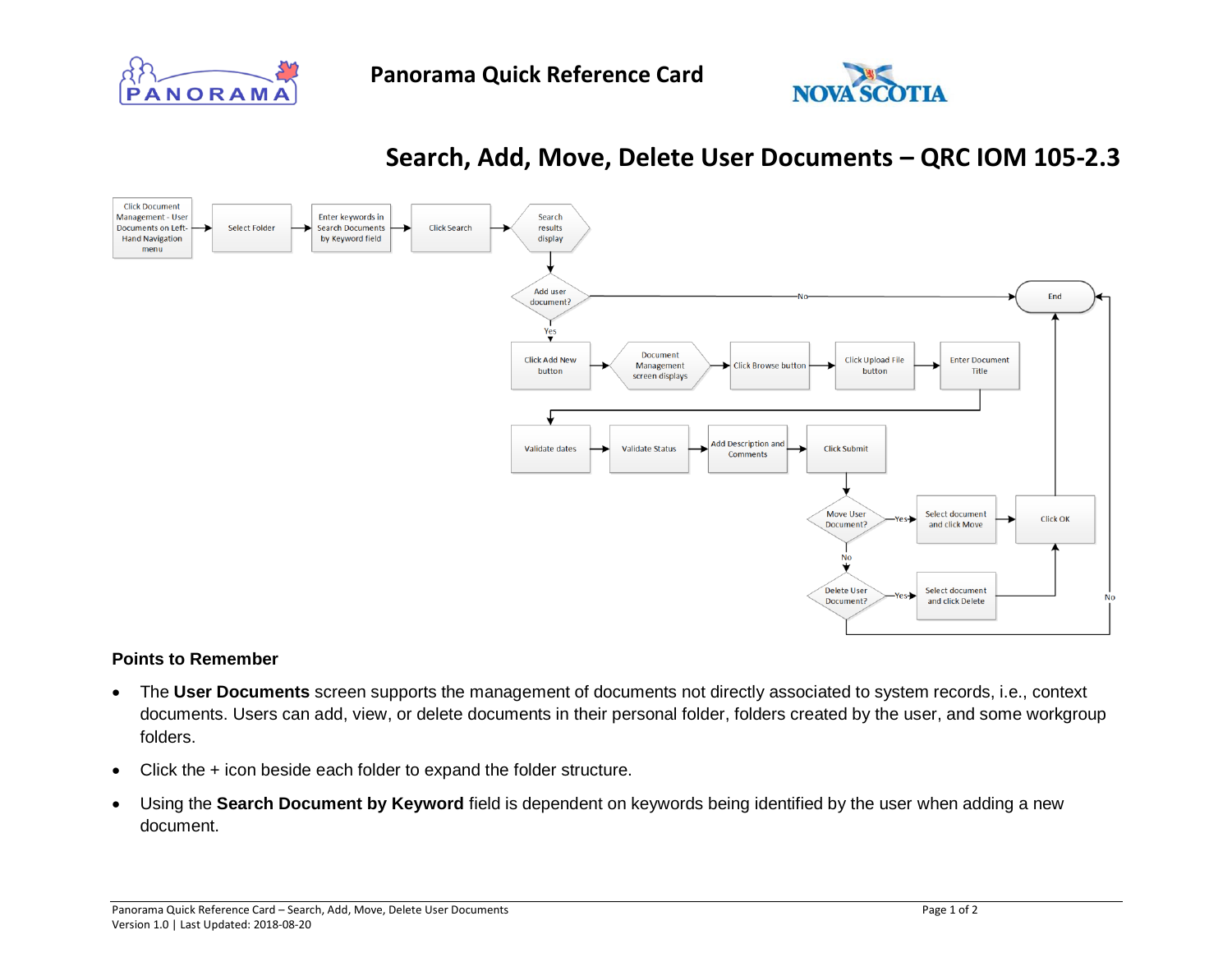





## **Search, Add, Move, Delete User Documents – QRC IOM 105-2.3**



## **Points to Remember**

- The **User Documents** screen supports the management of documents not directly associated to system records, i.e., context documents. Users can add, view, or delete documents in their personal folder, folders created by the user, and some workgroup folders.
- Click the + icon beside each folder to expand the folder structure.
- Using the **Search Document by Keyword** field is dependent on keywords being identified by the user when adding a new document.